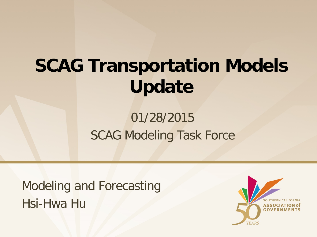# **SCAG Transportation Models Update**

#### 01/28/2015 SCAG Modeling Task Force

Modeling and Forecasting Hsi-Hwa Hu

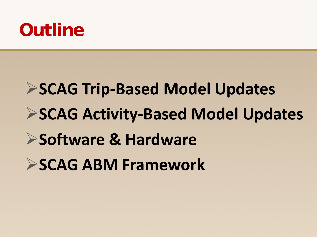### **Outline**

# **SCAG Trip-Based Model Updates SCAG Activity-Based Model Updates Software & Hardware SCAG ABM Framework**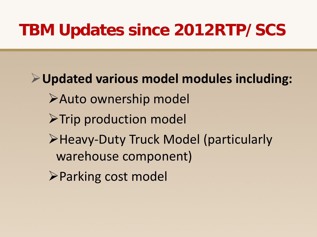#### **TBM Updates since 2012RTP/SCS**

**Updated various model modules including:** Auto ownership model  $\triangleright$ Trip production model Heavy-Duty Truck Model (particularly warehouse component) Parking cost model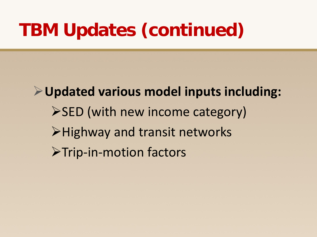### **TBM Updates (continued)**

**Updated various model inputs including:**  $\triangleright$  SED (with new income category) **≻Highway and transit networks** >Trip-in-motion factors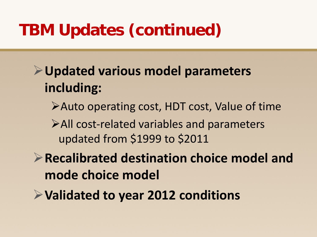### **TBM Updates (continued)**

- **Updated various model parameters including:**
	- Auto operating cost, HDT cost, Value of time
	- All cost-related variables and parameters updated from \$1999 to \$2011
- **Recalibrated destination choice model and mode choice model**
- **Validated to year 2012 conditions**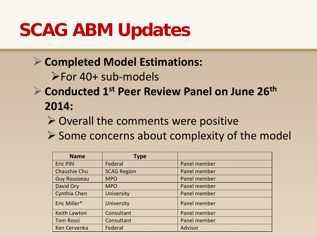### **SCAG ABM Updates**

- **Completed Model Estimations:**
	- For 40+ sub-models
- **Conducted 1st Peer Review Panel on June 26th 2014:**
	- $\triangleright$  Overall the comments were positive
	- $\triangleright$  Some concerns about complexity of the model

| <b>Name</b>         | <b>Type</b>        |              |
|---------------------|--------------------|--------------|
| <b>Eric Pihl</b>    | Federal            | Panel member |
| Chaushie Chu        | <b>SCAG Region</b> | Panel member |
| <b>Guy Rousseau</b> | <b>MPO</b>         | Panel member |
| David Ory           | <b>MPO</b>         | Panel member |
| Cynthia Chen        | <b>University</b>  | Panel member |
| Eric Miller*        | <b>University</b>  | Panel member |
| <b>Keith Lawton</b> | Consultant         | Panel member |
| <b>Tom Rossi</b>    | Consultant         | Panel member |
| <b>Ken Cervenka</b> | Federal            | Advisor      |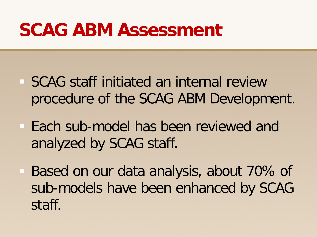### **SCAG ABM Assessment**

- SCAG staff initiated an internal review procedure of the SCAG ABM Development.
- **Each sub-model has been reviewed and** analyzed by SCAG staff.
- Based on our data analysis, about 70% of sub-models have been enhanced by SCAG staff.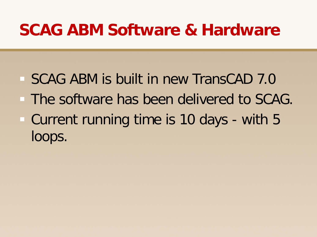SCAG ABM is built in new TransCAD 7.0 The software has been delivered to SCAG. Current running time is 10 days - with 5 loops.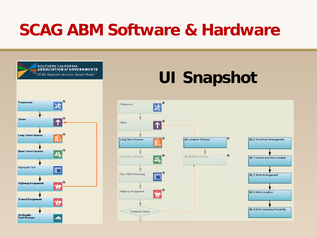

### **UI Snapshot**

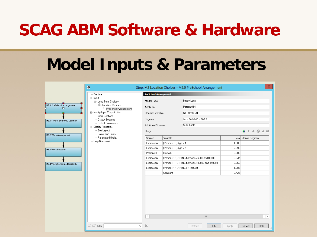#### **Model Inputs & Parameters**

|                                 | ø                                                    |                              |                                                                            | Step: M2 Location Choices - M2.0 PreSchool Arrangement |                   | x                     |  |
|---------------------------------|------------------------------------------------------|------------------------------|----------------------------------------------------------------------------|--------------------------------------------------------|-------------------|-----------------------|--|
|                                 | Runtime                                              | <b>PreSchool Arrangement</b> |                                                                            |                                                        |                   |                       |  |
| Ė⊢Input                         | 自- Long Term Choices                                 | Model Type                   |                                                                            | <b>Binary Logit</b>                                    |                   |                       |  |
| M2.0 PreSchool Arrangement<br>п | <b>E</b> ⊪ Location Choices<br>PreSchool Arrangement | Apply To                     | Person+HH<br>GoToPreSCH                                                    |                                                        |                   |                       |  |
|                                 | E-Modify Input/Output Lists                          | Decision Variable            |                                                                            |                                                        |                   |                       |  |
| M2.1 School and Univ Location   | Imput Sections –<br>- Output Sections                | Segment                      |                                                                            | AGE between 3 and 5                                    |                   |                       |  |
|                                 | - Output Parameters<br>E-Display Properties          | Additional Sources           | SED Table                                                                  |                                                        |                   |                       |  |
|                                 | Box Layout                                           | Utility                      |                                                                            |                                                        |                   | $Q \triangleq m$      |  |
| M2.2 Work Arrangement           | Colors and Fonts<br>- Parameter Display              | Variable<br>Source           |                                                                            |                                                        |                   | Beta   Market Segment |  |
|                                 | - Help Document                                      | Expression                   |                                                                            | [Person+HH].Age = 4                                    |                   |                       |  |
| M2.3 Work Location              |                                                      | Expression                   | [Person+HH].Age = 5                                                        |                                                        | 2.398             |                       |  |
|                                 |                                                      | Person+HH                    | Hnwork                                                                     |                                                        | $-0.302$          |                       |  |
|                                 |                                                      | Expression                   | [Person+HH].HHINC between 75001 and 99999                                  |                                                        | 0.335             |                       |  |
| M2.4 Work Schedule Flexibility  |                                                      | Expression                   | [Person+HH].HHINC between 100000 and 149999<br>[Person+HH].HHINC >= 150000 |                                                        | 0.968             |                       |  |
|                                 |                                                      | Expression                   | Constant                                                                   |                                                        | 1.282<br>$-0.426$ |                       |  |
|                                 |                                                      |                              |                                                                            |                                                        |                   |                       |  |
|                                 |                                                      | $\,$ $\,$                    |                                                                            | $\ensuremath{\mathsf{III}}\xspace$                     |                   | $\,$                  |  |
|                                 | $\Box^{\dagger} \Box^{\times}$ Filter<br>v           | $\mathcal{H}$                |                                                                            | <b>OK</b><br>Default                                   | Apply             | Cancel<br>Help        |  |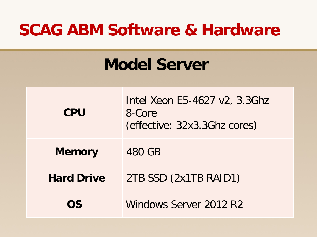#### **Model Server**

| <b>CPU</b>        | Intel Xeon E5-4627 v2, 3.3Ghz<br>8-Core<br>(effective: 32x3.3Ghz cores) |  |  |  |  |
|-------------------|-------------------------------------------------------------------------|--|--|--|--|
| <b>Memory</b>     | 480 GB                                                                  |  |  |  |  |
| <b>Hard Drive</b> | 2TB SSD (2x1TB RAID1)                                                   |  |  |  |  |
| OS                | Windows Server 2012 R2                                                  |  |  |  |  |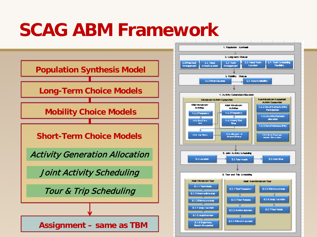### **SCAG ABM Framework**

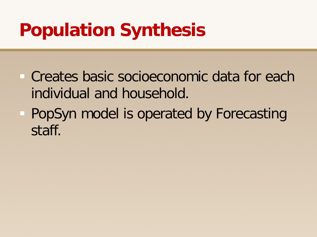## **Population Synthesis**

- Creates basic socioeconomic data for each individual and household.
- **PopSyn model is operated by Forecasting** staff.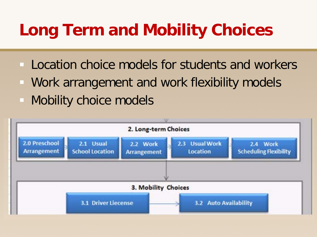### **Long Term and Mobility Choices**

- Location choice models for students and workers
- Work arrangement and work flexibility models
- Mobility choice models

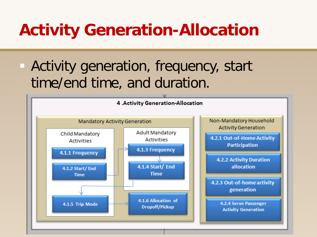### **Activity Generation-Allocation**

 Activity generation, frequency, start time/end time, and duration.

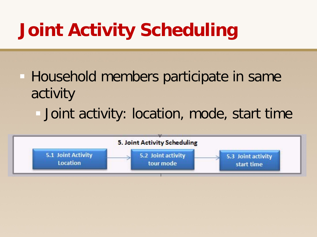# **Joint Activity Scheduling**

- Household members participate in same activity
	- Joint activity: location, mode, start time

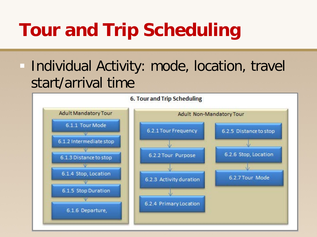# **Tour and Trip Scheduling**

#### **Individual Activity: mode, location, travel** start/arrival time